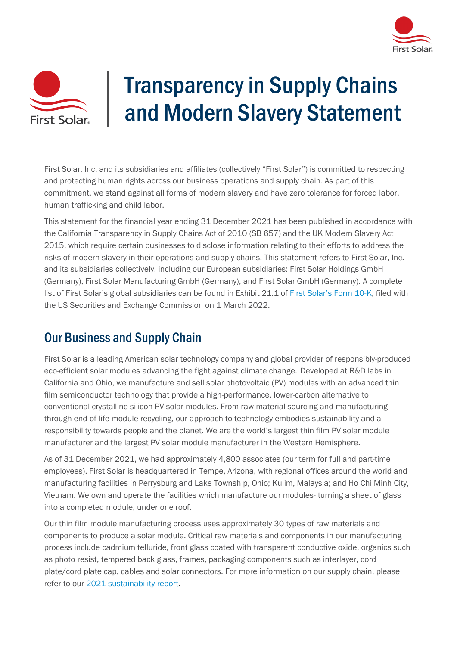



## Transparency in Supply Chains and Modern Slavery Statement

First Solar, Inc. and its subsidiaries and affiliates (collectively "First Solar") is committed to respecting and protecting human rights across our business operations and supply chain. As part of this commitment, we stand against all forms of modern slavery and have zero tolerance for forced labor, human trafficking and child labor.

This statement for the financial year ending 31 December 2021 has been published in accordance with the California Transparency in Supply Chains Act of 2010 (SB 657) and the UK Modern Slavery Act 2015, which require certain businesses to disclose information relating to their efforts to address the risks of modern slavery in their operations and supply chains. This statement refers to First Solar, Inc. and its subsidiaries collectively, including our European subsidiaries: First Solar Holdings GmbH (Germany), First Solar Manufacturing GmbH (Germany), and First Solar GmbH (Germany). A complete list of First Solar's global subsidiaries can be found in Exhibit 21.1 of [First Solar's Form 10-K,](https://d18rn0p25nwr6d.cloudfront.net/CIK-0001274494/5bd1664c-5bb6-4bb1-9dc3-967052a328eb.pdf) filed with the US Securities and Exchange Commission on 1 March 2022.

## Our Business and Supply Chain

First Solar is a leading American solar technology company and global provider of responsibly-produced eco-efficient solar modules advancing the fight against climate change. Developed at R&D labs in California and Ohio, we manufacture and sell solar photovoltaic (PV) modules with an advanced thin film semiconductor technology that provide a high-performance, lower-carbon alternative to conventional crystalline silicon PV solar modules. From raw material sourcing and manufacturing through end-of-life module recycling, our approach to technology embodies sustainability and a responsibility towards people and the planet. We are the world's largest thin film PV solar module manufacturer and the largest PV solar module manufacturer in the Western Hemisphere.

As of 31 December 2021, we had approximately 4,800 associates (our term for full and part-time employees). First Solar is headquartered in Tempe, Arizona, with regional offices around the world and manufacturing facilities in Perrysburg and Lake Township, Ohio; Kulim, Malaysia; and Ho Chi Minh City, Vietnam. We own and operate the facilities which manufacture our modules- turning a sheet of glass into a completed module, under one roof.

Our thin film module manufacturing process uses approximately 30 types of raw materials and components to produce a solar module. Critical raw materials and components in our manufacturing process include cadmium telluride, front glass coated with transparent conductive oxide, organics such as photo resist, tempered back glass, frames, packaging components such as interlayer, cord plate/cord plate cap, cables and solar connectors. For more information on our supply chain, please refer to our [2021 sustainability report.](https://www.firstsolar.com/-/media/First-Solar/Sustainability-Documents/FirstSolar_Sustainability-Report_2021.ashx)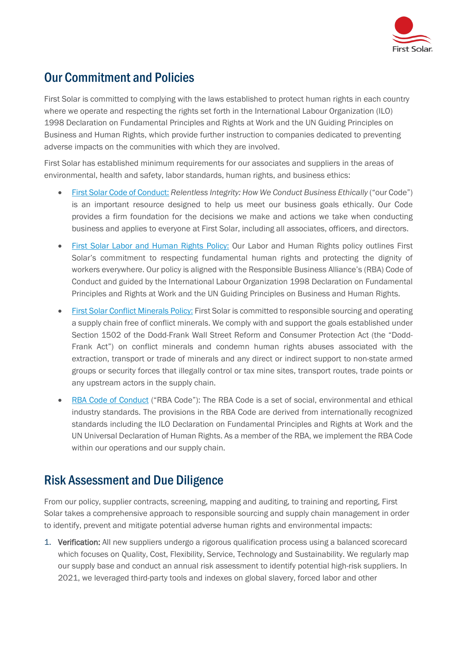

## Our Commitment and Policies

First Solar is committed to complying with the laws established to protect human rights in each country where we operate and respecting the rights set forth in the International Labour Organization (ILO) 1998 Declaration on Fundamental Principles and Rights at Work and the UN Guiding Principles on Business and Human Rights, which provide further instruction to companies dedicated to preventing adverse impacts on the communities with which they are involved.

First Solar has established minimum requirements for our associates and suppliers in the areas of environmental, health and safety, labor standards, human rights, and business ethics:

- First Solar [Code of Conduct:](https://www.firstsolar.com/-/media/First-Solar/Documents/Corporate-Collaterals/Code-of-Conduct/First-Solar-Code-of-Conduct.ashx) *Relentless Integrity: How We Conduct Business Ethically* ("our Code") is an important resource designed to help us meet our business goals ethically. Our Code provides a firm foundation for the decisions we make and actions we take when conducting business and applies to everyone at First Solar, including all associates, officers, and directors.
- [First Solar Labor and Human Rights Policy:](https://www.firstsolar.com/-/media/First-Solar/Sustainability-Documents/Sustainability-Policies/First_Solar_-_Labor_and_Human_Rights_Policy_web.ashx) Our Labor and Human Rights policy outlines First Solar's commitment to respecting fundamental human rights and protecting the dignity of workers everywhere. Our policy is aligned with the Responsible Business Alliance's (RBA) Code of Conduct and guided by the International Labour Organization 1998 Declaration on Fundamental Principles and Rights at Work and the UN Guiding Principles on Business and Human Rights.
- [First Solar Conflict Minerals Policy:](https://www.firstsolar.com/-/media/First-Solar/Sustainability-Documents/FS-Mineral-Policy.ashx) First Solar is committed to responsible sourcing and operating a supply chain free of conflict minerals. We comply with and support the goals established under Section 1502 of the Dodd-Frank Wall Street Reform and Consumer Protection Act (the "Dodd-Frank Act") on conflict minerals and condemn human rights abuses associated with the extraction, transport or trade of minerals and any direct or indirect support to non-state armed groups or security forces that illegally control or tax mine sites, transport routes, trade points or any upstream actors in the supply chain.
- RBA [Code of Conduct](https://www.responsiblebusiness.org/code-of-conduct/) ("RBA Code"): The RBA Code is a set of social, environmental and ethical industry standards. The provisions in the RBA Code are derived from internationally recognized standards including the ILO Declaration on Fundamental Principles and Rights at Work and the UN Universal Declaration of Human Rights. As a member of the RBA, we implement the RBA Code within our operations and our supply chain.

## Risk Assessment and Due Diligence

From our policy, supplier contracts, screening, mapping and auditing, to training and reporting, First Solar takes a comprehensive approach to responsible sourcing and supply chain management in order to identify, prevent and mitigate potential adverse human rights and environmental impacts:

1. Verification: All new suppliers undergo a rigorous qualification process using a balanced scorecard which focuses on Quality, Cost, Flexibility, Service, Technology and Sustainability. We regularly map our supply base and conduct an annual risk assessment to identify potential high-risk suppliers. In 2021, we leveraged third-party tools and indexes on global slavery, forced labor and other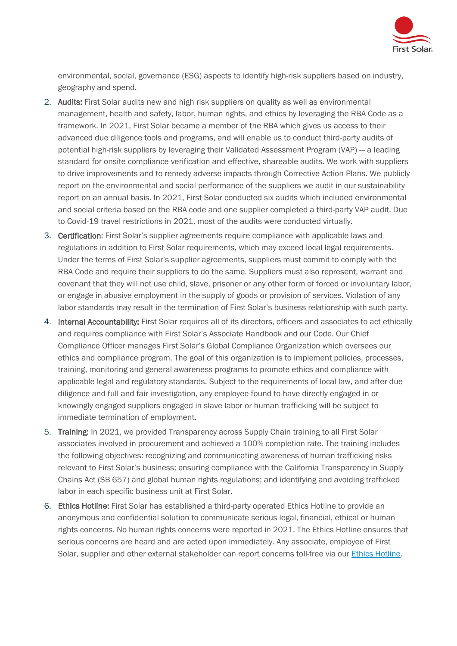

environmental, social, governance (ESG) aspects to identify high-risk suppliers based on industry, geography and spend.

- 2. Audits: First Solar audits new and high risk suppliers on quality as well as environmental management, health and safety, labor, human rights, and ethics by leveraging the RBA Code as a framework. In 2021, First Solar became a member of the RBA which gives us access to their advanced due diligence tools and programs, and will enable us to conduct third-party audits of potential high-risk suppliers by leveraging their Validated Assessment Program (VAP) — a leading standard for onsite compliance verification and effective, shareable audits. We work with suppliers to drive improvements and to remedy adverse impacts through Corrective Action Plans. We publicly report on the environmental and social performance of the suppliers we audit in our sustainability report on an annual basis. In 2021, First Solar conducted six audits which included environmental and social criteria based on the RBA code and one supplier completed a third-party VAP audit. Due to Covid-19 travel restrictions in 2021, most of the audits were conducted virtually.
- 3. Certification: First Solar's supplier agreements require compliance with applicable laws and regulations in addition to First Solar requirements, which may exceed local legal requirements. Under the terms of First Solar's supplier agreements, suppliers must commit to comply with the RBA Code and require their suppliers to do the same. Suppliers must also represent, warrant and covenant that they will not use child, slave, prisoner or any other form of forced or involuntary labor, or engage in abusive employment in the supply of goods or provision of services. Violation of any labor standards may result in the termination of First Solar's business relationship with such party.
- 4. Internal Accountability: First Solar requires all of its directors, officers and associates to act ethically and requires compliance with First Solar's Associate Handbook and our Code. Our Chief Compliance Officer manages First Solar's Global Compliance Organization which oversees our ethics and compliance program. The goal of this organization is to implement policies, processes, training, monitoring and general awareness programs to promote ethics and compliance with applicable legal and regulatory standards. Subject to the requirements of local law, and after due diligence and full and fair investigation, any employee found to have directly engaged in or knowingly engaged suppliers engaged in slave labor or human trafficking will be subject to immediate termination of employment.
- 5. Training: In 2021, we provided Transparency across Supply Chain training to all First Solar associates involved in procurement and achieved a 100% completion rate. The training includes the following objectives: recognizing and communicating awareness of human trafficking risks relevant to First Solar's business; ensuring compliance with the California Transparency in Supply Chains Act (SB 657) and global human rights regulations; and identifying and avoiding trafficked labor in each specific business unit at First Solar.
- 6. Ethics Hotline: First Solar has established a third-party operated Ethics Hotline to provide an anonymous and confidential solution to communicate serious legal, financial, ethical or human rights concerns. No human rights concerns were reported in 2021. The Ethics Hotline ensures that serious concerns are heard and are acted upon immediately. Any associate, employee of First Solar, supplier and other external stakeholder can report concerns toll-free via our [Ethics Hotline.](https://www.firstsolar.com/About-Us/Ethics-Hotline)